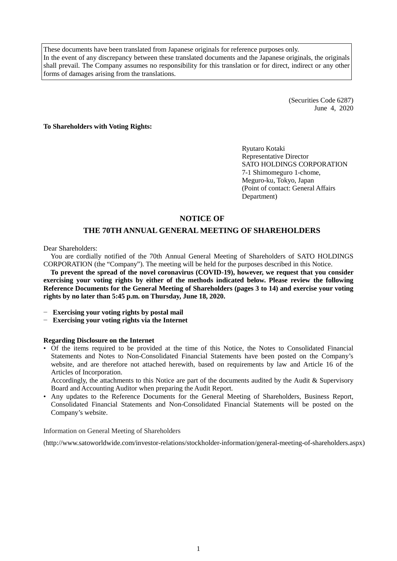These documents have been translated from Japanese originals for reference purposes only. In the event of any discrepancy between these translated documents and the Japanese originals, the originals shall prevail. The Company assumes no responsibility for this translation or for direct, indirect or any other forms of damages arising from the translations.

> (Securities Code 6287) June 4, 2020

**To Shareholders with Voting Rights:**

Ryutaro Kotaki Representative Director SATO HOLDINGS CORPORATION 7-1 Shimomeguro 1-chome, Meguro-ku, Tokyo, Japan (Point of contact: General Affairs Department)

## **NOTICE OF**

# **THE 70TH ANNUAL GENERAL MEETING OF SHAREHOLDERS**

Dear Shareholders:

You are cordially notified of the 70th Annual General Meeting of Shareholders of SATO HOLDINGS CORPORATION (the "Company"). The meeting will be held for the purposes described in this Notice.

**To prevent the spread of the novel coronavirus (COVID-19), however, we request that you consider exercising your voting rights by either of the methods indicated below. Please review the following Reference Documents for the General Meeting of Shareholders (pages 3 to 14) and exercise your voting rights by no later than 5:45 p.m. on Thursday, June 18, 2020.**

- − **Exercising your voting rights by postal mail**
- − **Exercising your voting rights via the Internet**

#### **Regarding Disclosure on the Internet**

• Of the items required to be provided at the time of this Notice, the Notes to Consolidated Financial Statements and Notes to Non-Consolidated Financial Statements have been posted on the Company's website, and are therefore not attached herewith, based on requirements by law and Article 16 of the Articles of Incorporation.

Accordingly, the attachments to this Notice are part of the documents audited by the Audit & Supervisory Board and Accounting Auditor when preparing the Audit Report.

• Any updates to the Reference Documents for the General Meeting of Shareholders, Business Report, Consolidated Financial Statements and Non-Consolidated Financial Statements will be posted on the Company's website.

Information on General Meeting of Shareholders

(http://www.satoworldwide.com/investor-relations/stockholder-information/general-meeting-of-shareholders.aspx)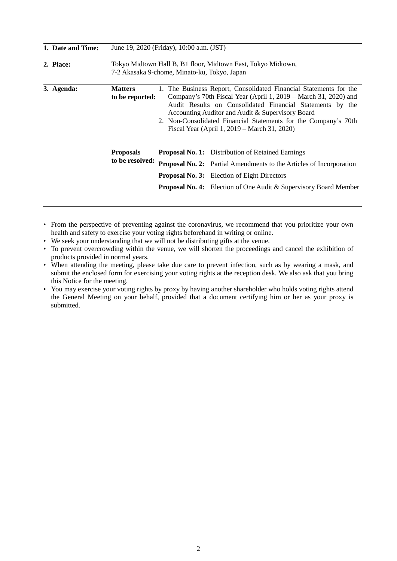| 1. Date and Time: | June 19, 2020 (Friday), 10:00 a.m. (JST) |                                              |                                                                                                                                                                                                                                                                                                                                                                          |  |
|-------------------|------------------------------------------|----------------------------------------------|--------------------------------------------------------------------------------------------------------------------------------------------------------------------------------------------------------------------------------------------------------------------------------------------------------------------------------------------------------------------------|--|
| 2. Place:         |                                          | 7-2 Akasaka 9-chome, Minato-ku, Tokyo, Japan | Tokyo Midtown Hall B, B1 floor, Midtown East, Tokyo Midtown,                                                                                                                                                                                                                                                                                                             |  |
| 3. Agenda:        | <b>Matters</b><br>to be reported:        |                                              | 1. The Business Report, Consolidated Financial Statements for the<br>Company's 70th Fiscal Year (April 1, 2019 – March 31, 2020) and<br>Audit Results on Consolidated Financial Statements by the<br>Accounting Auditor and Audit & Supervisory Board<br>2. Non-Consolidated Financial Statements for the Company's 70th<br>Fiscal Year (April 1, 2019 – March 31, 2020) |  |
|                   | <b>Proposals</b>                         |                                              | <b>Proposal No. 1:</b> Distribution of Retained Earnings                                                                                                                                                                                                                                                                                                                 |  |
|                   | to be resolved:                          |                                              | <b>Proposal No. 2:</b> Partial Amendments to the Articles of Incorporation                                                                                                                                                                                                                                                                                               |  |
|                   |                                          |                                              | <b>Proposal No. 3:</b> Election of Eight Directors                                                                                                                                                                                                                                                                                                                       |  |
|                   |                                          |                                              | <b>Proposal No. 4:</b> Election of One Audit & Supervisory Board Member                                                                                                                                                                                                                                                                                                  |  |

- From the perspective of preventing against the coronavirus, we recommend that you prioritize your own health and safety to exercise your voting rights beforehand in writing or online.
- We seek your understanding that we will not be distributing gifts at the venue.
- To prevent overcrowding within the venue, we will shorten the proceedings and cancel the exhibition of products provided in normal years.
- When attending the meeting, please take due care to prevent infection, such as by wearing a mask, and submit the enclosed form for exercising your voting rights at the reception desk. We also ask that you bring this Notice for the meeting.
- You may exercise your voting rights by proxy by having another shareholder who holds voting rights attend the General Meeting on your behalf, provided that a document certifying him or her as your proxy is submitted.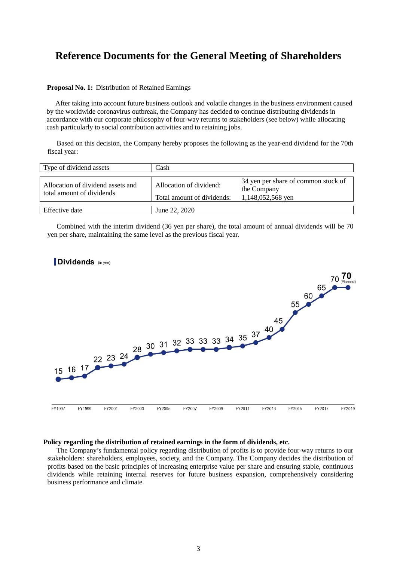# **Reference Documents for the General Meeting of Shareholders**

#### **Proposal No. 1:** Distribution of Retained Earnings

After taking into account future business outlook and volatile changes in the business environment caused by the worldwide coronavirus outbreak, the Company has decided to continue distributing dividends in accordance with our corporate philosophy of four-way returns to stakeholders (see below) while allocating cash particularly to social contribution activities and to retaining jobs.

Based on this decision, the Company hereby proposes the following as the year-end dividend for the 70th fiscal year:

| Type of dividend assets                                        | Cash                                                  |                                                                         |
|----------------------------------------------------------------|-------------------------------------------------------|-------------------------------------------------------------------------|
| Allocation of dividend assets and<br>total amount of dividends | Allocation of dividend:<br>Total amount of dividends: | 34 yen per share of common stock of<br>the Company<br>1,148,052,568 yen |
| Effective date                                                 | June 22, 2020                                         |                                                                         |

Combined with the interim dividend (36 yen per share), the total amount of annual dividends will be 70 yen per share, maintaining the same level as the previous fiscal year.



#### **Policy regarding the distribution of retained earnings in the form of dividends, etc.**

The Company's fundamental policy regarding distribution of profits is to provide four-way returns to our stakeholders: shareholders, employees, society, and the Company. The Company decides the distribution of profits based on the basic principles of increasing enterprise value per share and ensuring stable, continuous dividends while retaining internal reserves for future business expansion, comprehensively considering business performance and climate.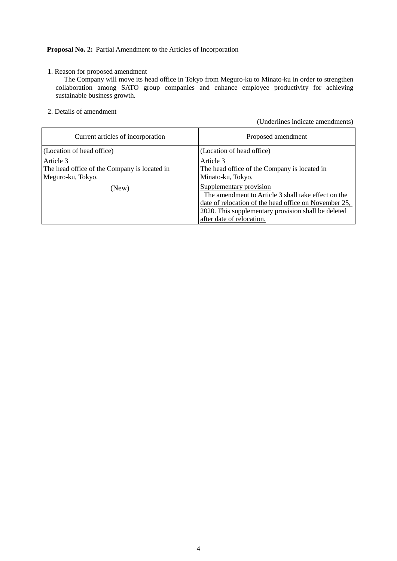## **Proposal No. 2:** Partial Amendment to the Articles of Incorporation

## 1. Reason for proposed amendment

The Company will move its head office in Tokyo from Meguro-ku to Minato-ku in order to strengthen collaboration among SATO group companies and enhance employee productivity for achieving sustainable business growth.

2. Details of amendment

(Underlines indicate amendments)

| Current articles of incorporation                                              | Proposed amendment                                                                                                                                                                                                          |
|--------------------------------------------------------------------------------|-----------------------------------------------------------------------------------------------------------------------------------------------------------------------------------------------------------------------------|
| (Location of head office)                                                      | (Location of head office)                                                                                                                                                                                                   |
| Article 3<br>The head office of the Company is located in<br>Meguro-ku, Tokyo. | Article 3<br>The head office of the Company is located in<br>Minato-ku, Tokyo.                                                                                                                                              |
| (New)                                                                          | Supplementary provision<br>The amendment to Article 3 shall take effect on the<br>date of relocation of the head office on November 25,<br>2020. This supplementary provision shall be deleted<br>after date of relocation. |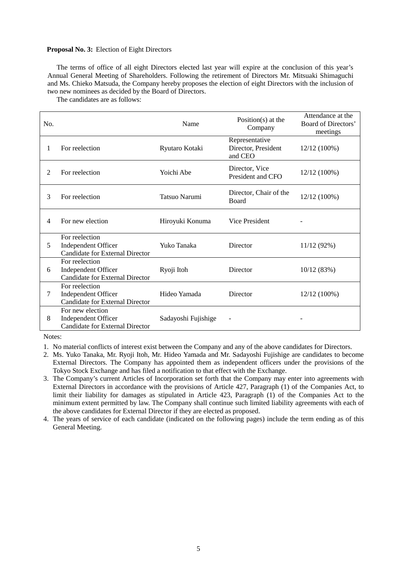#### **Proposal No. 3:** Election of Eight Directors

The terms of office of all eight Directors elected last year will expire at the conclusion of this year's Annual General Meeting of Shareholders. Following the retirement of Directors Mr. Mitsuaki Shimaguchi and Ms. Chieko Matsuda, the Company hereby proposes the election of eight Directors with the inclusion of two new nominees as decided by the Board of Directors.

The candidates are as follows:

| No. |                                                                                   | Name                | Position( $s$ ) at the<br>Company                | Attendance at the<br>Board of Directors'<br>meetings |
|-----|-----------------------------------------------------------------------------------|---------------------|--------------------------------------------------|------------------------------------------------------|
| 1   | For reelection                                                                    | Ryutaro Kotaki      | Representative<br>Director, President<br>and CEO | 12/12 (100%)                                         |
| 2   | For reelection                                                                    | Yoichi Abe          | Director, Vice<br>President and CFO              | 12/12 (100%)                                         |
| 3   | For reelection                                                                    | Tatsuo Narumi       | Director, Chair of the<br><b>Board</b>           | 12/12 (100%)                                         |
| 4   | For new election                                                                  | Hiroyuki Konuma     | <b>Vice President</b>                            |                                                      |
| 5   | For reelection<br>Independent Officer<br><b>Candidate for External Director</b>   | Yuko Tanaka         | Director                                         | 11/12 (92%)                                          |
| 6   | For reelection<br>Independent Officer<br><b>Candidate for External Director</b>   | Ryoji Itoh          | Director                                         | 10/12(83%)                                           |
| 7   | For reelection<br>Independent Officer<br><b>Candidate for External Director</b>   | Hideo Yamada        | Director                                         | 12/12 (100%)                                         |
| 8   | For new election<br>Independent Officer<br><b>Candidate for External Director</b> | Sadayoshi Fujishige |                                                  |                                                      |

Notes:

1. No material conflicts of interest exist between the Company and any of the above candidates for Directors.

- 2. Ms. Yuko Tanaka, Mr. Ryoji Itoh, Mr. Hideo Yamada and Mr. Sadayoshi Fujishige are candidates to become External Directors. The Company has appointed them as independent officers under the provisions of the Tokyo Stock Exchange and has filed a notification to that effect with the Exchange.
- 3. The Company's current Articles of Incorporation set forth that the Company may enter into agreements with External Directors in accordance with the provisions of Article 427, Paragraph (1) of the Companies Act, to limit their liability for damages as stipulated in Article 423, Paragraph (1) of the Companies Act to the minimum extent permitted by law. The Company shall continue such limited liability agreements with each of the above candidates for External Director if they are elected as proposed.

4. The years of service of each candidate (indicated on the following pages) include the term ending as of this General Meeting.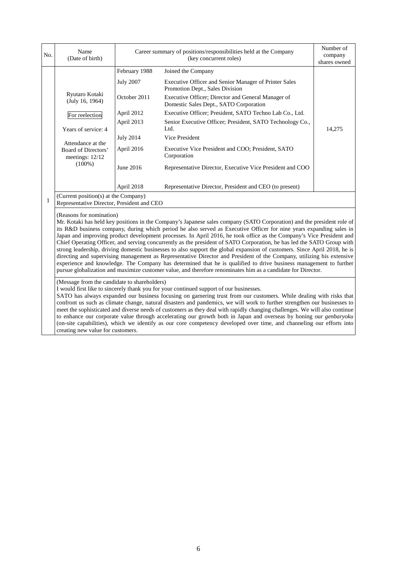| No. | Name<br>(Date of birth)                                                                                                                                  | Career summary of positions/responsibilities held at the Company<br>(key concurrent roles)                                                 |                                                                                                                                                                                                                                                                                                                                                                                                                                                                                                                                                              | Number of<br>company<br>shares owned |
|-----|----------------------------------------------------------------------------------------------------------------------------------------------------------|--------------------------------------------------------------------------------------------------------------------------------------------|--------------------------------------------------------------------------------------------------------------------------------------------------------------------------------------------------------------------------------------------------------------------------------------------------------------------------------------------------------------------------------------------------------------------------------------------------------------------------------------------------------------------------------------------------------------|--------------------------------------|
|     | Ryutaro Kotaki<br>(July 16, 1964)<br>For reelection<br>Years of service: 4<br>Attendance at the<br>Board of Directors'<br>meetings: $12/12$<br>$(100\%)$ | February 1988<br><b>July 2007</b><br>October 2011<br>April 2012<br>April 2013<br><b>July 2014</b><br>April 2016<br>June 2016<br>April 2018 | Joined the Company<br>Executive Officer and Senior Manager of Printer Sales<br>Promotion Dept., Sales Division<br>Executive Officer; Director and General Manager of<br>Domestic Sales Dept., SATO Corporation<br>Executive Officer; President, SATO Techno Lab Co., Ltd.<br>Senior Executive Officer; President, SATO Technology Co.,<br>Ltd.<br>Vice President<br>Executive Vice President and COO; President, SATO<br>Corporation<br>Representative Director, Executive Vice President and COO<br>Representative Director, President and CEO (to present) | 14,275                               |
|     | (Current position(s) at the Company)<br>Representative Director, President and CEO<br>(Reasons for nomination)                                           |                                                                                                                                            |                                                                                                                                                                                                                                                                                                                                                                                                                                                                                                                                                              |                                      |

Mr. Kotaki has held key positions in the Company's Japanese sales company (SATO Corporation) and the president role of its R&D business company, during which period he also served as Executive Officer for nine years expanding sales in Japan and improving product development processes. In April 2016, he took office as the Company's Vice President and Chief Operating Officer, and serving concurrently as the president of SATO Corporation, he has led the SATO Group with strong leadership, driving domestic businesses to also support the global expansion of customers. Since April 2018, he is directing and supervising management as Representative Director and President of the Company, utilizing his extensive experience and knowledge. The Company has determined that he is qualified to drive business management to further pursue globalization and maximize customer value, and therefore renominates him as a candidate for Director.

(Message from the candidate to shareholders)

I would first like to sincerely thank you for your continued support of our businesses.

SATO has always expanded our business focusing on garnering trust from our customers. While dealing with risks that confront us such as climate change, natural disasters and pandemics, we will work to further strengthen our businesses to meet the sophisticated and diverse needs of customers as they deal with rapidly changing challenges. We will also continue to enhance our corporate value through accelerating our growth both in Japan and overseas by honing our *genbaryoku* (on-site capabilities), which we identify as our core competency developed over time, and channeling our efforts into creating new value for customers.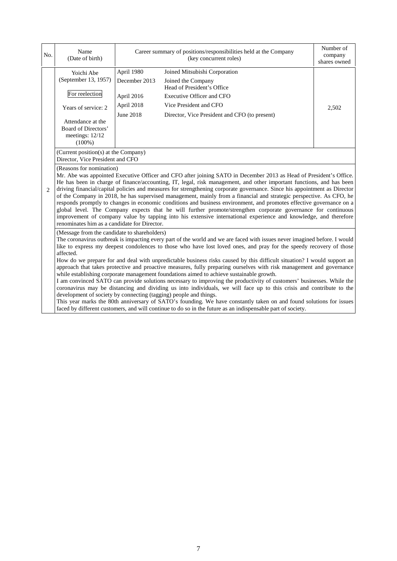| No.                         | Name<br>(Date of birth)                                                                                                                                                                                                                                                                                                                                                                                                                                                                                                                                                                                                                                                                                                                                                                  |                                                                      | Career summary of positions/responsibilities held at the Company<br>(key concurrent roles)                                                                                                                                                                                                                                                                                                                                                                                                                                                                                                                                                                                                                                                                                                                                                                  | Number of<br>company<br>shares owned |
|-----------------------------|------------------------------------------------------------------------------------------------------------------------------------------------------------------------------------------------------------------------------------------------------------------------------------------------------------------------------------------------------------------------------------------------------------------------------------------------------------------------------------------------------------------------------------------------------------------------------------------------------------------------------------------------------------------------------------------------------------------------------------------------------------------------------------------|----------------------------------------------------------------------|-------------------------------------------------------------------------------------------------------------------------------------------------------------------------------------------------------------------------------------------------------------------------------------------------------------------------------------------------------------------------------------------------------------------------------------------------------------------------------------------------------------------------------------------------------------------------------------------------------------------------------------------------------------------------------------------------------------------------------------------------------------------------------------------------------------------------------------------------------------|--------------------------------------|
|                             | Yoichi Abe<br>(September 13, 1957)<br>For reelection<br>Years of service: 2<br>Attendance at the<br>Board of Directors'<br>meetings: 12/12<br>$(100\%)$                                                                                                                                                                                                                                                                                                                                                                                                                                                                                                                                                                                                                                  | April 1980<br>December 2013<br>April 2016<br>April 2018<br>June 2018 | Joined Mitsubishi Corporation<br>Joined the Company<br>Head of President's Office<br><b>Executive Officer and CFO</b><br>Vice President and CFO<br>Director, Vice President and CFO (to present)                                                                                                                                                                                                                                                                                                                                                                                                                                                                                                                                                                                                                                                            | 2,502                                |
|                             | (Current position(s) at the Company)<br>Director, Vice President and CFO                                                                                                                                                                                                                                                                                                                                                                                                                                                                                                                                                                                                                                                                                                                 |                                                                      |                                                                                                                                                                                                                                                                                                                                                                                                                                                                                                                                                                                                                                                                                                                                                                                                                                                             |                                      |
| $\mathcal{D}_{\mathcal{L}}$ | (Reasons for nomination)<br>renominates him as a candidate for Director.                                                                                                                                                                                                                                                                                                                                                                                                                                                                                                                                                                                                                                                                                                                 |                                                                      | Mr. Abe was appointed Executive Officer and CFO after joining SATO in December 2013 as Head of President's Office.<br>He has been in charge of finance/accounting, IT, legal, risk management, and other important functions, and has been<br>driving financial/capital policies and measures for strengthening corporate governance. Since his appointment as Director<br>of the Company in 2018, he has supervised management, mainly from a financial and strategic perspective. As CFO, he<br>responds promptly to changes in economic conditions and business environment, and promotes effective governance on a<br>global level. The Company expects that he will further promote/strengthen corporate governance for continuous<br>improvement of company value by tapping into his extensive international experience and knowledge, and therefore |                                      |
|                             | (Message from the candidate to shareholders)<br>affected.                                                                                                                                                                                                                                                                                                                                                                                                                                                                                                                                                                                                                                                                                                                                |                                                                      | The coronavirus outbreak is impacting every part of the world and we are faced with issues never imagined before. I would<br>like to express my deepest condolences to those who have lost loved ones, and pray for the speedy recovery of those                                                                                                                                                                                                                                                                                                                                                                                                                                                                                                                                                                                                            |                                      |
|                             | How do we prepare for and deal with unpredictable business risks caused by this difficult situation? I would support an<br>approach that takes protective and proactive measures, fully preparing ourselves with risk management and governance<br>while establishing corporate management foundations aimed to achieve sustainable growth.<br>I am convinced SATO can provide solutions necessary to improving the productivity of customers' businesses. While the<br>coronavirus may be distancing and dividing us into individuals, we will face up to this crisis and contribute to the<br>development of society by connecting (tagging) people and things.<br>This year marks the 80th anniversary of SATO's founding. We have constantly taken on and found solutions for issues |                                                                      |                                                                                                                                                                                                                                                                                                                                                                                                                                                                                                                                                                                                                                                                                                                                                                                                                                                             |                                      |
|                             |                                                                                                                                                                                                                                                                                                                                                                                                                                                                                                                                                                                                                                                                                                                                                                                          |                                                                      | faced by different customers, and will continue to do so in the future as an indispensable part of society.                                                                                                                                                                                                                                                                                                                                                                                                                                                                                                                                                                                                                                                                                                                                                 |                                      |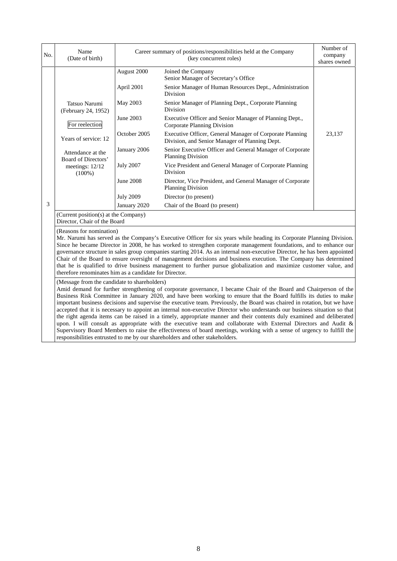| No. | Name<br>(Date of birth)                                                                                                                                                                                                                                                                                                                                                                                                                                                                                                                                                                                                                                                                                                                                   |                  | Career summary of positions/responsibilities held at the Company<br>(key concurrent roles)                        | Number of<br>company<br>shares owned |
|-----|-----------------------------------------------------------------------------------------------------------------------------------------------------------------------------------------------------------------------------------------------------------------------------------------------------------------------------------------------------------------------------------------------------------------------------------------------------------------------------------------------------------------------------------------------------------------------------------------------------------------------------------------------------------------------------------------------------------------------------------------------------------|------------------|-------------------------------------------------------------------------------------------------------------------|--------------------------------------|
|     |                                                                                                                                                                                                                                                                                                                                                                                                                                                                                                                                                                                                                                                                                                                                                           | August 2000      | Joined the Company<br>Senior Manager of Secretary's Office                                                        |                                      |
|     |                                                                                                                                                                                                                                                                                                                                                                                                                                                                                                                                                                                                                                                                                                                                                           | April 2001       | Senior Manager of Human Resources Dept., Administration<br>Division                                               |                                      |
|     | Tatsuo Narumi<br>(February 24, 1952)                                                                                                                                                                                                                                                                                                                                                                                                                                                                                                                                                                                                                                                                                                                      | May 2003         | Senior Manager of Planning Dept., Corporate Planning<br>Division                                                  |                                      |
|     | For reelection                                                                                                                                                                                                                                                                                                                                                                                                                                                                                                                                                                                                                                                                                                                                            | June 2003        | Executive Officer and Senior Manager of Planning Dept.,<br><b>Corporate Planning Division</b>                     |                                      |
|     | Years of service: 12                                                                                                                                                                                                                                                                                                                                                                                                                                                                                                                                                                                                                                                                                                                                      | October 2005     | Executive Officer, General Manager of Corporate Planning<br>Division, and Senior Manager of Planning Dept.        | 23,137                               |
|     | Attendance at the<br>Board of Directors'                                                                                                                                                                                                                                                                                                                                                                                                                                                                                                                                                                                                                                                                                                                  | January 2006     | Senior Executive Officer and General Manager of Corporate<br><b>Planning Division</b>                             |                                      |
|     | meetings: 12/12<br>$(100\%)$                                                                                                                                                                                                                                                                                                                                                                                                                                                                                                                                                                                                                                                                                                                              | <b>July 2007</b> | Vice President and General Manager of Corporate Planning<br><b>Division</b>                                       |                                      |
|     |                                                                                                                                                                                                                                                                                                                                                                                                                                                                                                                                                                                                                                                                                                                                                           | <b>June 2008</b> | Director, Vice President, and General Manager of Corporate<br><b>Planning Division</b>                            |                                      |
|     |                                                                                                                                                                                                                                                                                                                                                                                                                                                                                                                                                                                                                                                                                                                                                           | <b>July 2009</b> | Director (to present)                                                                                             |                                      |
| 3   |                                                                                                                                                                                                                                                                                                                                                                                                                                                                                                                                                                                                                                                                                                                                                           | January 2020     | Chair of the Board (to present)                                                                                   |                                      |
|     | (Current position(s) at the Company)<br>Director, Chair of the Board                                                                                                                                                                                                                                                                                                                                                                                                                                                                                                                                                                                                                                                                                      |                  |                                                                                                                   |                                      |
|     | (Reasons for nomination)<br>Mr. Narumi has served as the Company's Executive Officer for six years while heading its Corporate Planning Division.<br>Since he became Director in 2008, he has worked to strengthen corporate management foundations, and to enhance our<br>governance structure in sales group companies starting 2014. As an internal non-executive Director, he has been appointed<br>Chair of the Board to ensure oversight of management decisions and business execution. The Company has determined<br>that he is qualified to drive business management to further pursue globalization and maximize customer value, and<br>therefore renominates him as a candidate for Director.<br>(Message from the candidate to shareholders) |                  |                                                                                                                   |                                      |
|     |                                                                                                                                                                                                                                                                                                                                                                                                                                                                                                                                                                                                                                                                                                                                                           |                  | Amid demand for further strengthening of corporate governance, I became Chair of the Board and Chairperson of the |                                      |

Business Risk Committee in January 2020, and have been working to ensure that the Board fulfills its duties to make important business decisions and supervise the executive team. Previously, the Board was chaired in rotation, but we have accepted that it is necessary to appoint an internal non-executive Director who understands our business situation so that the right agenda items can be raised in a timely, appropriate manner and their contents duly examined and deliberated upon. I will consult as appropriate with the executive team and collaborate with External Directors and Audit & Supervisory Board Members to raise the effectiveness of board meetings, working with a sense of urgency to fulfill the responsibilities entrusted to me by our shareholders and other stakeholders.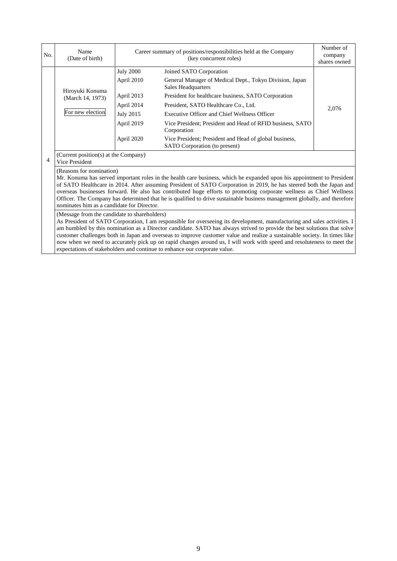| No. | Name<br>(Date of birth)                                                                                                                                                                                                                                                                                                                                                                                                                                                                                                                                                                                                                 | Career summary of positions/responsibilities held at the Company<br>(key concurrent roles) |                                                                                         | Number of<br>company<br>shares owned |  |
|-----|-----------------------------------------------------------------------------------------------------------------------------------------------------------------------------------------------------------------------------------------------------------------------------------------------------------------------------------------------------------------------------------------------------------------------------------------------------------------------------------------------------------------------------------------------------------------------------------------------------------------------------------------|--------------------------------------------------------------------------------------------|-----------------------------------------------------------------------------------------|--------------------------------------|--|
|     |                                                                                                                                                                                                                                                                                                                                                                                                                                                                                                                                                                                                                                         | <b>July 2000</b>                                                                           | Joined SATO Corporation                                                                 |                                      |  |
|     |                                                                                                                                                                                                                                                                                                                                                                                                                                                                                                                                                                                                                                         | April 2010                                                                                 | General Manager of Medical Dept., Tokyo Division, Japan<br>Sales Headquarters           |                                      |  |
|     | Hiroyuki Konuma<br>(March 14, 1973)                                                                                                                                                                                                                                                                                                                                                                                                                                                                                                                                                                                                     | April 2013                                                                                 | President for healthcare business, SATO Corporation                                     |                                      |  |
|     |                                                                                                                                                                                                                                                                                                                                                                                                                                                                                                                                                                                                                                         | April 2014                                                                                 | President, SATO Healthcare Co., Ltd.                                                    | 2,076                                |  |
|     | For new election                                                                                                                                                                                                                                                                                                                                                                                                                                                                                                                                                                                                                        | <b>July 2015</b>                                                                           | Executive Officer and Chief Wellness Officer                                            |                                      |  |
|     |                                                                                                                                                                                                                                                                                                                                                                                                                                                                                                                                                                                                                                         | April 2019                                                                                 | Vice President; President and Head of RFID business, SATO<br>Corporation                |                                      |  |
|     |                                                                                                                                                                                                                                                                                                                                                                                                                                                                                                                                                                                                                                         | April 2020                                                                                 | Vice President; President and Head of global business,<br>SATO Corporation (to present) |                                      |  |
| 4   | (Current position(s) at the Company)<br>Vice President                                                                                                                                                                                                                                                                                                                                                                                                                                                                                                                                                                                  |                                                                                            |                                                                                         |                                      |  |
|     | (Reasons for nomination)<br>Mr. Konuma has served important roles in the health care business, which he expanded upon his appointment to President<br>of SATO Healthcare in 2014. After assuming President of SATO Corporation in 2019, he has steered both the Japan and<br>overseas businesses forward. He also has contributed huge efforts to promoting corporate wellness as Chief Wellness<br>Officer. The Company has determined that he is qualified to drive sustainable business management globally, and therefore<br>nominates him as a candidate for Director.                                                             |                                                                                            |                                                                                         |                                      |  |
|     | (Message from the candidate to shareholders)<br>As President of SATO Corporation, I am responsible for overseeing its development, manufacturing and sales activities. I<br>am humbled by this nomination as a Director candidate. SATO has always strived to provide the best solutions that solve<br>customer challenges both in Japan and overseas to improve customer value and realize a sustainable society. In times like<br>now when we need to accurately pick up on rapid changes around us, I will work with speed and resoluteness to meet the<br>expectations of stakeholders and continue to enhance our corporate value. |                                                                                            |                                                                                         |                                      |  |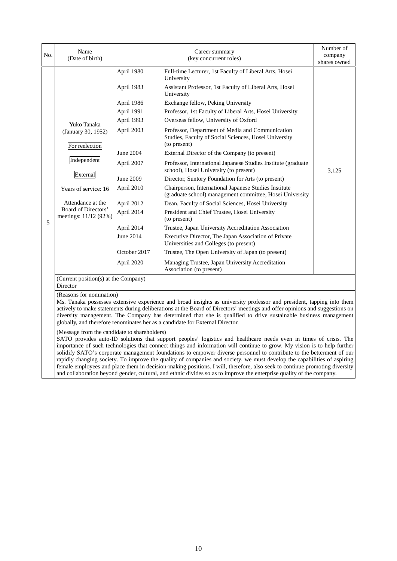| No. | Name<br>(Date of birth)                                                                                                                                                       |                                                                                                                                                                                                                                    | Career summary<br>(key concurrent roles)                                                                                                                                                                                                                                                                                                                                                                                                                                                                                                                                                                                                                                                                                                                                                                                                                                                                                                                                                                                                                                                                                                                | Number of<br>company<br>shares owned |
|-----|-------------------------------------------------------------------------------------------------------------------------------------------------------------------------------|------------------------------------------------------------------------------------------------------------------------------------------------------------------------------------------------------------------------------------|---------------------------------------------------------------------------------------------------------------------------------------------------------------------------------------------------------------------------------------------------------------------------------------------------------------------------------------------------------------------------------------------------------------------------------------------------------------------------------------------------------------------------------------------------------------------------------------------------------------------------------------------------------------------------------------------------------------------------------------------------------------------------------------------------------------------------------------------------------------------------------------------------------------------------------------------------------------------------------------------------------------------------------------------------------------------------------------------------------------------------------------------------------|--------------------------------------|
| 5   | Yuko Tanaka<br>(January 30, 1952)<br>For reelection<br>Independent<br>External<br>Years of service: 16<br>Attendance at the<br>Board of Directors'<br>meetings: $11/12$ (92%) | April 1980<br>April 1983<br>April 1986<br>April 1991<br>April 1993<br>April 2003<br><b>June 2004</b><br>April 2007<br>June 2009<br>April 2010<br>April 2012<br>April 2014<br>April 2014<br>June 2014<br>October 2017<br>April 2020 | Full-time Lecturer, 1st Faculty of Liberal Arts, Hosei<br>University<br>Assistant Professor, 1st Faculty of Liberal Arts, Hosei<br>University<br>Exchange fellow, Peking University<br>Professor, 1st Faculty of Liberal Arts, Hosei University<br>Overseas fellow, University of Oxford<br>Professor, Department of Media and Communication<br>Studies, Faculty of Social Sciences, Hosei University<br>(to present)<br>External Director of the Company (to present)<br>Professor, International Japanese Studies Institute (graduate)<br>school), Hosei University (to present)<br>Director, Suntory Foundation for Arts (to present)<br>Chairperson, International Japanese Studies Institute<br>(graduate school) management committee, Hosei University<br>Dean, Faculty of Social Sciences, Hosei University<br>President and Chief Trustee, Hosei University<br>(to present)<br>Trustee, Japan University Accreditation Association<br>Executive Director, The Japan Association of Private<br>Universities and Colleges (to present)<br>Trustee, The Open University of Japan (to present)<br>Managing Trustee, Japan University Accreditation | 3,125                                |
|     | (Current position(s) at the Company)                                                                                                                                          |                                                                                                                                                                                                                                    | Association (to present)                                                                                                                                                                                                                                                                                                                                                                                                                                                                                                                                                                                                                                                                                                                                                                                                                                                                                                                                                                                                                                                                                                                                |                                      |
|     | Director<br>(Reasons for nomination)                                                                                                                                          |                                                                                                                                                                                                                                    | Ms. Tanaka possesses extensive experience and broad insights as university professor and president, tapping into them                                                                                                                                                                                                                                                                                                                                                                                                                                                                                                                                                                                                                                                                                                                                                                                                                                                                                                                                                                                                                                   |                                      |

diversity management. The Company has determined that she is qualified to drive sustainable business management globally, and therefore renominates her as a candidate for External Director.

(Message from the candidate to shareholders)

SATO provides auto-ID solutions that support peoples' logistics and healthcare needs even in times of crisis. The importance of such technologies that connect things and information will continue to grow. My vision is to help further solidify SATO's corporate management foundations to empower diverse personnel to contribute to the betterment of our rapidly changing society. To improve the quality of companies and society, we must develop the capabilities of aspiring female employees and place them in decision-making positions. I will, therefore, also seek to continue promoting diversity and collaboration beyond gender, cultural, and ethnic divides so as to improve the enterprise quality of the company.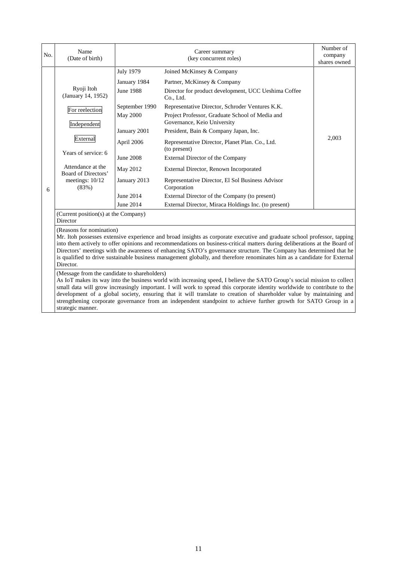| No. | Name<br>(Date of birth)                                                                                                                                                      |                                                                                                                                                                                     | Career summary<br>(key concurrent roles)                                                                                                                                                                                                                                                                                                                                                                                                                                                                                                                                                                                                                                                                                                                            | Number of<br>company<br>shares owned |
|-----|------------------------------------------------------------------------------------------------------------------------------------------------------------------------------|-------------------------------------------------------------------------------------------------------------------------------------------------------------------------------------|---------------------------------------------------------------------------------------------------------------------------------------------------------------------------------------------------------------------------------------------------------------------------------------------------------------------------------------------------------------------------------------------------------------------------------------------------------------------------------------------------------------------------------------------------------------------------------------------------------------------------------------------------------------------------------------------------------------------------------------------------------------------|--------------------------------------|
| 6   | Ryoji Itoh<br>(January 14, 1952)<br>For reelection<br>Independent<br>External<br>Years of service: 6<br>Attendance at the<br>Board of Directors'<br>meetings: 10/12<br>(83%) | <b>July 1979</b><br>January 1984<br><b>June 1988</b><br>September 1990<br>May 2000<br>January 2001<br>April 2006<br>June 2008<br>May 2012<br>January 2013<br>June 2014<br>June 2014 | Joined McKinsey & Company<br>Partner, McKinsey & Company<br>Director for product development, UCC Ueshima Coffee<br>Co., Ltd.<br>Representative Director, Schroder Ventures K.K.<br>Project Professor, Graduate School of Media and<br>Governance, Keio University<br>President, Bain & Company Japan, Inc.<br>Representative Director, Planet Plan. Co., Ltd.<br>(to present)<br>External Director of the Company<br>External Director, Renown Incorporated<br>Representative Director, El Sol Business Advisor<br>Corporation<br>External Director of the Company (to present)<br>External Director, Miraca Holdings Inc. (to present)                                                                                                                            | 2,003                                |
|     | (Current position(s) at the Company)<br>Director                                                                                                                             |                                                                                                                                                                                     |                                                                                                                                                                                                                                                                                                                                                                                                                                                                                                                                                                                                                                                                                                                                                                     |                                      |
|     | (Reasons for nomination)<br>Director.<br>(Message from the candidate to shareholders)                                                                                        |                                                                                                                                                                                     | Mr. Itoh possesses extensive experience and broad insights as corporate executive and graduate school professor, tapping<br>into them actively to offer opinions and recommendations on business-critical matters during deliberations at the Board of<br>Directors' meetings with the awareness of enhancing SATO's governance structure. The Company has determined that he<br>is qualified to drive sustainable business management globally, and therefore renominates him as a candidate for External<br>As IoT makes its way into the business world with increasing speed, I believe the SATO Group's social mission to collect<br>small data will grow increasingly important. I will work to spread this corporate identity worldwide to contribute to the |                                      |

development of a global society, ensuring that it will translate to creation of shareholder value by maintaining and strengthening corporate governance from an independent standpoint to achieve further growth for SATO Group in a strategic manner.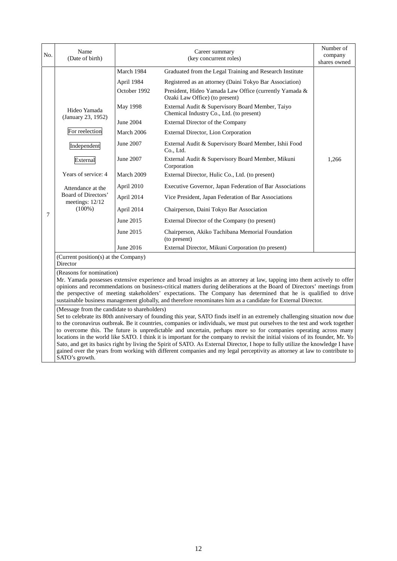| No. | Name<br>(Date of birth)                                                                                                                                                            |                                                                                                                                                                   | Career summary<br>(key concurrent roles)                                                                                                                                                                                                                                                                                                                                                                                                                                                                                                                                                                                                                                                                                                                                           | Number of<br>company<br>shares owned |
|-----|------------------------------------------------------------------------------------------------------------------------------------------------------------------------------------|-------------------------------------------------------------------------------------------------------------------------------------------------------------------|------------------------------------------------------------------------------------------------------------------------------------------------------------------------------------------------------------------------------------------------------------------------------------------------------------------------------------------------------------------------------------------------------------------------------------------------------------------------------------------------------------------------------------------------------------------------------------------------------------------------------------------------------------------------------------------------------------------------------------------------------------------------------------|--------------------------------------|
| 7   | Hideo Yamada<br>(January 23, 1952)<br>For reelection<br>Independent<br>External<br>Years of service: 4<br>Attendance at the<br>Board of Directors'<br>meetings: 12/12<br>$(100\%)$ | March 1984<br>April 1984<br>October 1992<br>May 1998<br>June 2004<br>March 2006<br>June 2007<br>June 2007<br>March 2009<br>April 2010<br>April 2014<br>April 2014 | Graduated from the Legal Training and Research Institute<br>Registered as an attorney (Daini Tokyo Bar Association)<br>President, Hideo Yamada Law Office (currently Yamada &<br>Ozaki Law Office) (to present)<br>External Audit & Supervisory Board Member, Taiyo<br>Chemical Industry Co., Ltd. (to present)<br>External Director of the Company<br>External Director, Lion Corporation<br>External Audit & Supervisory Board Member, Ishii Food<br>Co., Ltd.<br>External Audit & Supervisory Board Member, Mikuni<br>Corporation<br>External Director, Hulic Co., Ltd. (to present)<br>Executive Governor, Japan Federation of Bar Associations<br>Vice President, Japan Federation of Bar Associations<br>Chairperson, Daini Tokyo Bar Association                            | 1,266                                |
|     |                                                                                                                                                                                    | June 2015<br>June 2015<br>June 2016                                                                                                                               | External Director of the Company (to present)<br>Chairperson, Akiko Tachibana Memorial Foundation<br>(to present)<br>External Director, Mikuni Corporation (to present)                                                                                                                                                                                                                                                                                                                                                                                                                                                                                                                                                                                                            |                                      |
|     | (Current position(s) at the Company)<br>Director                                                                                                                                   |                                                                                                                                                                   |                                                                                                                                                                                                                                                                                                                                                                                                                                                                                                                                                                                                                                                                                                                                                                                    |                                      |
|     | (Reasons for nomination)                                                                                                                                                           |                                                                                                                                                                   | Mr. Yamada possesses extensive experience and broad insights as an attorney at law, tapping into them actively to offer<br>opinions and recommendations on business-critical matters during deliberations at the Board of Directors' meetings from<br>the perspective of meeting stakeholders' expectations. The Company has determined that he is qualified to drive<br>sustainable business management globally, and therefore renominates him as a candidate for External Director.                                                                                                                                                                                                                                                                                             |                                      |
|     | (Message from the candidate to shareholders)                                                                                                                                       |                                                                                                                                                                   | Set to celebrate its 80th anniversary of founding this year, SATO finds itself in an extremely challenging situation now due<br>to the coronavirus outbreak. Be it countries, companies or individuals, we must put ourselves to the test and work together<br>to overcome this. The future is unpredictable and uncertain, perhaps more so for companies operating across many<br>locations in the world like SATO. I think it is important for the company to revisit the initial visions of its founder, Mr. Yo<br>Sato, and get its basics right by living the Spirit of SATO. As External Director, I hope to fully utilize the knowledge I have<br>gained over the years from working with different companies and my legal perceptivity as attorney at law to contribute to |                                      |

SATO's growth.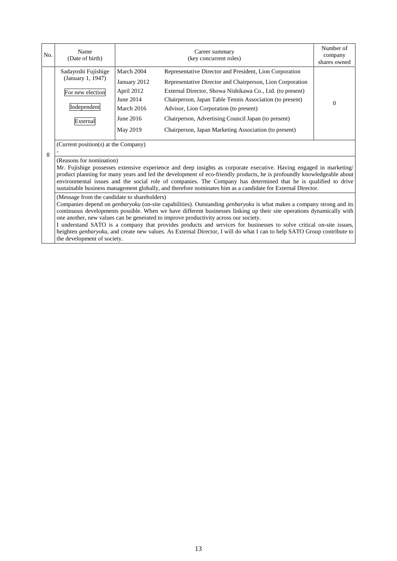| No.                                                                                                                                                                                                                                                                                                                                                                                                                                                                                                                                                                                                                                                                                                                                                                                                                                                                                                                                                                                                                                                                                                                                                                                                 | Name<br>(Date of birth)                                                                 |                                                                                              | Career summary<br>(key concurrent roles)                                                                                                                                                                                                                                                                                                                                                                | Number of<br>company<br>shares owned |  |
|-----------------------------------------------------------------------------------------------------------------------------------------------------------------------------------------------------------------------------------------------------------------------------------------------------------------------------------------------------------------------------------------------------------------------------------------------------------------------------------------------------------------------------------------------------------------------------------------------------------------------------------------------------------------------------------------------------------------------------------------------------------------------------------------------------------------------------------------------------------------------------------------------------------------------------------------------------------------------------------------------------------------------------------------------------------------------------------------------------------------------------------------------------------------------------------------------------|-----------------------------------------------------------------------------------------|----------------------------------------------------------------------------------------------|---------------------------------------------------------------------------------------------------------------------------------------------------------------------------------------------------------------------------------------------------------------------------------------------------------------------------------------------------------------------------------------------------------|--------------------------------------|--|
|                                                                                                                                                                                                                                                                                                                                                                                                                                                                                                                                                                                                                                                                                                                                                                                                                                                                                                                                                                                                                                                                                                                                                                                                     | Sadayoshi Fujishige<br>(January 1, 1947)<br>For new election<br>Independent<br>External | March 2004<br>January 2012<br>April 2012<br>June 2014<br>March 2016<br>June 2016<br>May 2019 | Representative Director and President, Lion Corporation<br>Representative Director and Chairperson, Lion Corporation<br>External Director, Showa Nishikawa Co., Ltd. (to present)<br>Chairperson, Japan Table Tennis Association (to present)<br>Advisor, Lion Corporation (to present)<br>Chairperson, Advertising Council Japan (to present)<br>Chairperson, Japan Marketing Association (to present) | $\Omega$                             |  |
| 8                                                                                                                                                                                                                                                                                                                                                                                                                                                                                                                                                                                                                                                                                                                                                                                                                                                                                                                                                                                                                                                                                                                                                                                                   | (Current position(s) at the Company)                                                    |                                                                                              |                                                                                                                                                                                                                                                                                                                                                                                                         |                                      |  |
| (Reasons for nomination)<br>Mr. Fujishige possesses extensive experience and deep insights as corporate executive. Having engaged in marketing/<br>product planning for many years and led the development of eco-friendly products, he is profoundly knowledgeable about<br>environmental issues and the social role of companies. The Company has determined that he is qualified to drive<br>sustainable business management globally, and therefore nominates him as a candidate for External Director.<br>(Message from the candidate to shareholders)<br>Companies depend on <i>genbaryoku</i> (on-site capabilities). Outstanding <i>genbaryoku</i> is what makes a company strong and its<br>continuous developments possible. When we have different businesses linking up their site operations dynamically with<br>one another, new values can be generated to improve productivity across our society.<br>I understand SATO is a company that provides products and services for businesses to solve critical on-site issues,<br>heighten genbaryoku, and create new values. As External Director, I will do what I can to help SATO Group contribute to<br>the development of society. |                                                                                         |                                                                                              |                                                                                                                                                                                                                                                                                                                                                                                                         |                                      |  |
|                                                                                                                                                                                                                                                                                                                                                                                                                                                                                                                                                                                                                                                                                                                                                                                                                                                                                                                                                                                                                                                                                                                                                                                                     |                                                                                         |                                                                                              |                                                                                                                                                                                                                                                                                                                                                                                                         |                                      |  |